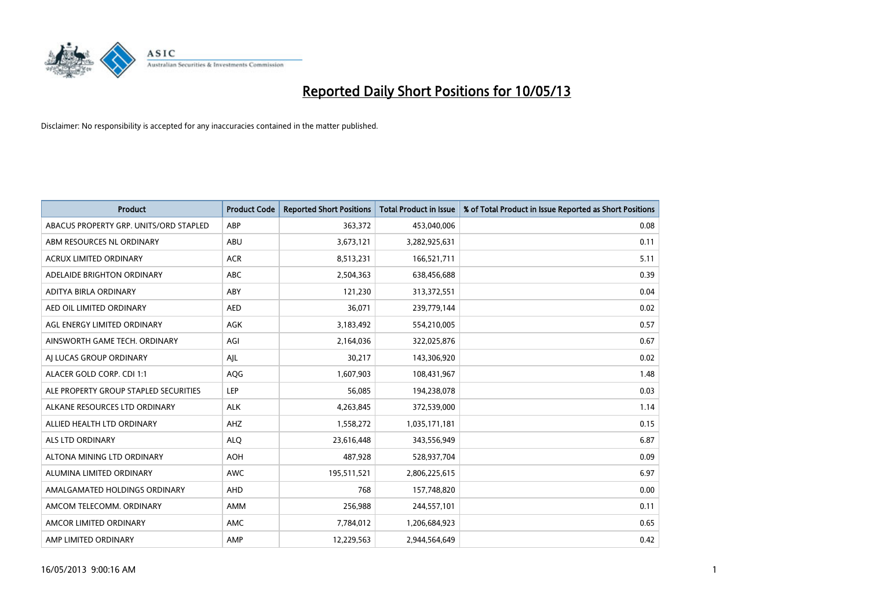

| <b>Product</b>                         | <b>Product Code</b> | <b>Reported Short Positions</b> | <b>Total Product in Issue</b> | % of Total Product in Issue Reported as Short Positions |
|----------------------------------------|---------------------|---------------------------------|-------------------------------|---------------------------------------------------------|
| ABACUS PROPERTY GRP. UNITS/ORD STAPLED | ABP                 | 363,372                         | 453,040,006                   | 0.08                                                    |
| ABM RESOURCES NL ORDINARY              | ABU                 | 3,673,121                       | 3,282,925,631                 | 0.11                                                    |
| <b>ACRUX LIMITED ORDINARY</b>          | <b>ACR</b>          | 8,513,231                       | 166,521,711                   | 5.11                                                    |
| ADELAIDE BRIGHTON ORDINARY             | <b>ABC</b>          | 2,504,363                       | 638,456,688                   | 0.39                                                    |
| <b>ADITYA BIRLA ORDINARY</b>           | ABY                 | 121,230                         | 313,372,551                   | 0.04                                                    |
| AED OIL LIMITED ORDINARY               | <b>AED</b>          | 36,071                          | 239,779,144                   | 0.02                                                    |
| AGL ENERGY LIMITED ORDINARY            | <b>AGK</b>          | 3,183,492                       | 554,210,005                   | 0.57                                                    |
| AINSWORTH GAME TECH. ORDINARY          | AGI                 | 2,164,036                       | 322,025,876                   | 0.67                                                    |
| AI LUCAS GROUP ORDINARY                | AIL                 | 30,217                          | 143,306,920                   | 0.02                                                    |
| ALACER GOLD CORP. CDI 1:1              | AQG                 | 1,607,903                       | 108,431,967                   | 1.48                                                    |
| ALE PROPERTY GROUP STAPLED SECURITIES  | <b>LEP</b>          | 56,085                          | 194,238,078                   | 0.03                                                    |
| ALKANE RESOURCES LTD ORDINARY          | <b>ALK</b>          | 4,263,845                       | 372,539,000                   | 1.14                                                    |
| ALLIED HEALTH LTD ORDINARY             | AHZ                 | 1,558,272                       | 1,035,171,181                 | 0.15                                                    |
| <b>ALS LTD ORDINARY</b>                | <b>ALO</b>          | 23,616,448                      | 343,556,949                   | 6.87                                                    |
| ALTONA MINING LTD ORDINARY             | <b>AOH</b>          | 487,928                         | 528,937,704                   | 0.09                                                    |
| ALUMINA LIMITED ORDINARY               | <b>AWC</b>          | 195,511,521                     | 2,806,225,615                 | 6.97                                                    |
| AMALGAMATED HOLDINGS ORDINARY          | <b>AHD</b>          | 768                             | 157,748,820                   | 0.00                                                    |
| AMCOM TELECOMM. ORDINARY               | AMM                 | 256,988                         | 244,557,101                   | 0.11                                                    |
| AMCOR LIMITED ORDINARY                 | <b>AMC</b>          | 7,784,012                       | 1,206,684,923                 | 0.65                                                    |
| AMP LIMITED ORDINARY                   | AMP                 | 12.229.563                      | 2.944.564.649                 | 0.42                                                    |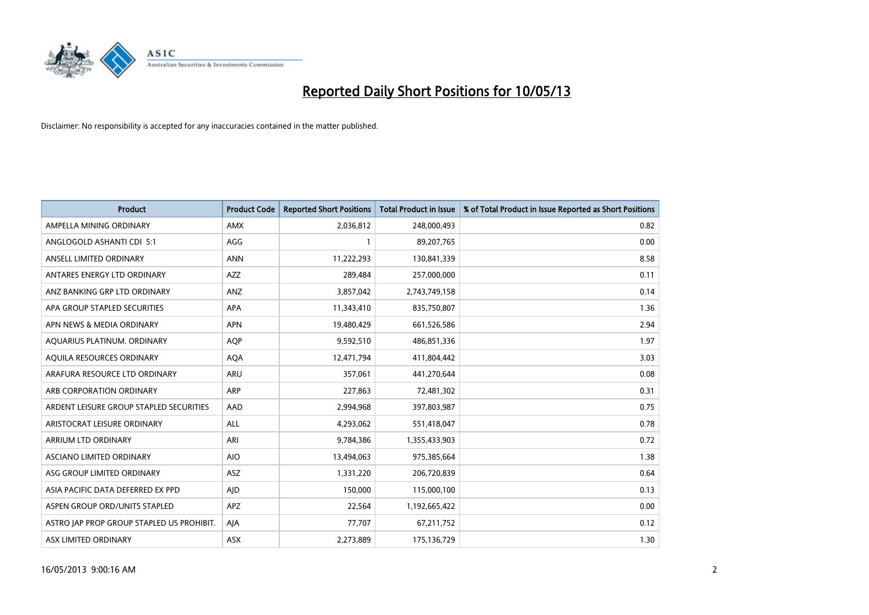

| <b>Product</b>                            | <b>Product Code</b> | <b>Reported Short Positions</b> | <b>Total Product in Issue</b> | % of Total Product in Issue Reported as Short Positions |
|-------------------------------------------|---------------------|---------------------------------|-------------------------------|---------------------------------------------------------|
| AMPELLA MINING ORDINARY                   | <b>AMX</b>          | 2,036,812                       | 248,000,493                   | 0.82                                                    |
| ANGLOGOLD ASHANTI CDI 5:1                 | AGG                 |                                 | 89,207,765                    | 0.00                                                    |
| ANSELL LIMITED ORDINARY                   | <b>ANN</b>          | 11,222,293                      | 130,841,339                   | 8.58                                                    |
| ANTARES ENERGY LTD ORDINARY               | <b>AZZ</b>          | 289,484                         | 257,000,000                   | 0.11                                                    |
| ANZ BANKING GRP LTD ORDINARY              | ANZ                 | 3,857,042                       | 2,743,749,158                 | 0.14                                                    |
| APA GROUP STAPLED SECURITIES              | <b>APA</b>          | 11,343,410                      | 835,750,807                   | 1.36                                                    |
| APN NEWS & MEDIA ORDINARY                 | <b>APN</b>          | 19,480,429                      | 661,526,586                   | 2.94                                                    |
| AQUARIUS PLATINUM. ORDINARY               | <b>AOP</b>          | 9,592,510                       | 486,851,336                   | 1.97                                                    |
| AQUILA RESOURCES ORDINARY                 | <b>AQA</b>          | 12,471,794                      | 411,804,442                   | 3.03                                                    |
| ARAFURA RESOURCE LTD ORDINARY             | <b>ARU</b>          | 357,061                         | 441,270,644                   | 0.08                                                    |
| ARB CORPORATION ORDINARY                  | <b>ARP</b>          | 227,863                         | 72,481,302                    | 0.31                                                    |
| ARDENT LEISURE GROUP STAPLED SECURITIES   | AAD                 | 2,994,968                       | 397,803,987                   | 0.75                                                    |
| ARISTOCRAT LEISURE ORDINARY               | <b>ALL</b>          | 4,293,062                       | 551,418,047                   | 0.78                                                    |
| <b>ARRIUM LTD ORDINARY</b>                | ARI                 | 9,784,386                       | 1,355,433,903                 | 0.72                                                    |
| ASCIANO LIMITED ORDINARY                  | <b>AIO</b>          | 13,494,063                      | 975,385,664                   | 1.38                                                    |
| ASG GROUP LIMITED ORDINARY                | ASZ                 | 1,331,220                       | 206,720,839                   | 0.64                                                    |
| ASIA PACIFIC DATA DEFERRED EX PPD         | AID                 | 150,000                         | 115,000,100                   | 0.13                                                    |
| ASPEN GROUP ORD/UNITS STAPLED             | <b>APZ</b>          | 22,564                          | 1,192,665,422                 | 0.00                                                    |
| ASTRO JAP PROP GROUP STAPLED US PROHIBIT. | AJA                 | 77,707                          | 67,211,752                    | 0.12                                                    |
| ASX LIMITED ORDINARY                      | ASX                 | 2,273,889                       | 175,136,729                   | 1.30                                                    |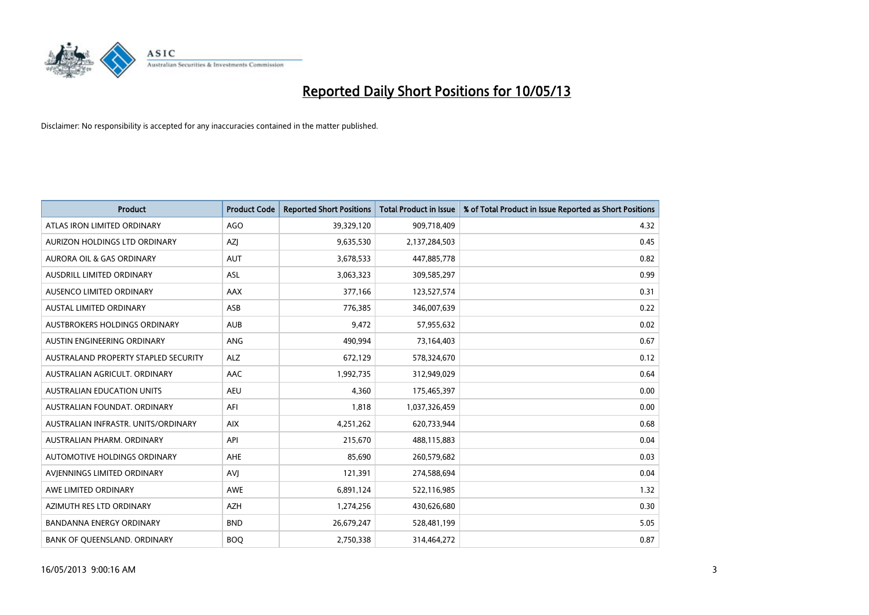

| <b>Product</b>                       | <b>Product Code</b> | <b>Reported Short Positions</b> | <b>Total Product in Issue</b> | % of Total Product in Issue Reported as Short Positions |
|--------------------------------------|---------------------|---------------------------------|-------------------------------|---------------------------------------------------------|
| ATLAS IRON LIMITED ORDINARY          | AGO                 | 39,329,120                      | 909,718,409                   | 4.32                                                    |
| AURIZON HOLDINGS LTD ORDINARY        | AZI                 | 9,635,530                       | 2,137,284,503                 | 0.45                                                    |
| <b>AURORA OIL &amp; GAS ORDINARY</b> | <b>AUT</b>          | 3,678,533                       | 447,885,778                   | 0.82                                                    |
| AUSDRILL LIMITED ORDINARY            | ASL                 | 3,063,323                       | 309,585,297                   | 0.99                                                    |
| AUSENCO LIMITED ORDINARY             | <b>AAX</b>          | 377,166                         | 123,527,574                   | 0.31                                                    |
| <b>AUSTAL LIMITED ORDINARY</b>       | ASB                 | 776,385                         | 346,007,639                   | 0.22                                                    |
| AUSTBROKERS HOLDINGS ORDINARY        | <b>AUB</b>          | 9,472                           | 57,955,632                    | 0.02                                                    |
| AUSTIN ENGINEERING ORDINARY          | ANG                 | 490,994                         | 73,164,403                    | 0.67                                                    |
| AUSTRALAND PROPERTY STAPLED SECURITY | <b>ALZ</b>          | 672,129                         | 578,324,670                   | 0.12                                                    |
| AUSTRALIAN AGRICULT, ORDINARY        | AAC                 | 1,992,735                       | 312,949,029                   | 0.64                                                    |
| <b>AUSTRALIAN EDUCATION UNITS</b>    | <b>AEU</b>          | 4,360                           | 175,465,397                   | 0.00                                                    |
| AUSTRALIAN FOUNDAT, ORDINARY         | AFI                 | 1,818                           | 1,037,326,459                 | 0.00                                                    |
| AUSTRALIAN INFRASTR. UNITS/ORDINARY  | <b>AIX</b>          | 4,251,262                       | 620,733,944                   | 0.68                                                    |
| AUSTRALIAN PHARM. ORDINARY           | API                 | 215,670                         | 488,115,883                   | 0.04                                                    |
| <b>AUTOMOTIVE HOLDINGS ORDINARY</b>  | <b>AHE</b>          | 85,690                          | 260,579,682                   | 0.03                                                    |
| AVIENNINGS LIMITED ORDINARY          | AVI                 | 121,391                         | 274,588,694                   | 0.04                                                    |
| AWE LIMITED ORDINARY                 | AWE                 | 6,891,124                       | 522,116,985                   | 1.32                                                    |
| AZIMUTH RES LTD ORDINARY             | <b>AZH</b>          | 1,274,256                       | 430,626,680                   | 0.30                                                    |
| <b>BANDANNA ENERGY ORDINARY</b>      | <b>BND</b>          | 26,679,247                      | 528,481,199                   | 5.05                                                    |
| BANK OF QUEENSLAND. ORDINARY         | <b>BOO</b>          | 2,750,338                       | 314,464,272                   | 0.87                                                    |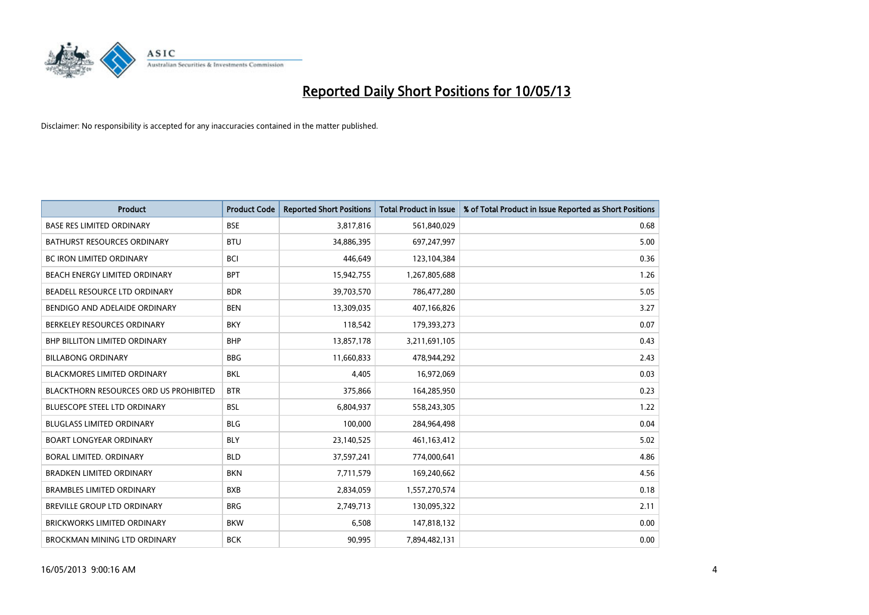

| <b>Product</b>                                | <b>Product Code</b> | <b>Reported Short Positions</b> | <b>Total Product in Issue</b> | % of Total Product in Issue Reported as Short Positions |
|-----------------------------------------------|---------------------|---------------------------------|-------------------------------|---------------------------------------------------------|
| <b>BASE RES LIMITED ORDINARY</b>              | <b>BSE</b>          | 3,817,816                       | 561,840,029                   | 0.68                                                    |
| <b>BATHURST RESOURCES ORDINARY</b>            | <b>BTU</b>          | 34,886,395                      | 697,247,997                   | 5.00                                                    |
| <b>BC IRON LIMITED ORDINARY</b>               | <b>BCI</b>          | 446.649                         | 123,104,384                   | 0.36                                                    |
| BEACH ENERGY LIMITED ORDINARY                 | <b>BPT</b>          | 15,942,755                      | 1,267,805,688                 | 1.26                                                    |
| BEADELL RESOURCE LTD ORDINARY                 | <b>BDR</b>          | 39,703,570                      | 786,477,280                   | 5.05                                                    |
| BENDIGO AND ADELAIDE ORDINARY                 | <b>BEN</b>          | 13,309,035                      | 407,166,826                   | 3.27                                                    |
| BERKELEY RESOURCES ORDINARY                   | <b>BKY</b>          | 118,542                         | 179,393,273                   | 0.07                                                    |
| <b>BHP BILLITON LIMITED ORDINARY</b>          | <b>BHP</b>          | 13,857,178                      | 3,211,691,105                 | 0.43                                                    |
| <b>BILLABONG ORDINARY</b>                     | <b>BBG</b>          | 11,660,833                      | 478,944,292                   | 2.43                                                    |
| <b>BLACKMORES LIMITED ORDINARY</b>            | <b>BKL</b>          | 4,405                           | 16,972,069                    | 0.03                                                    |
| <b>BLACKTHORN RESOURCES ORD US PROHIBITED</b> | <b>BTR</b>          | 375,866                         | 164,285,950                   | 0.23                                                    |
| BLUESCOPE STEEL LTD ORDINARY                  | <b>BSL</b>          | 6,804,937                       | 558,243,305                   | 1.22                                                    |
| <b>BLUGLASS LIMITED ORDINARY</b>              | <b>BLG</b>          | 100,000                         | 284,964,498                   | 0.04                                                    |
| <b>BOART LONGYEAR ORDINARY</b>                | <b>BLY</b>          | 23,140,525                      | 461,163,412                   | 5.02                                                    |
| BORAL LIMITED, ORDINARY                       | <b>BLD</b>          | 37,597,241                      | 774,000,641                   | 4.86                                                    |
| <b>BRADKEN LIMITED ORDINARY</b>               | <b>BKN</b>          | 7,711,579                       | 169,240,662                   | 4.56                                                    |
| <b>BRAMBLES LIMITED ORDINARY</b>              | <b>BXB</b>          | 2,834,059                       | 1,557,270,574                 | 0.18                                                    |
| BREVILLE GROUP LTD ORDINARY                   | <b>BRG</b>          | 2,749,713                       | 130,095,322                   | 2.11                                                    |
| <b>BRICKWORKS LIMITED ORDINARY</b>            | <b>BKW</b>          | 6,508                           | 147,818,132                   | 0.00                                                    |
| BROCKMAN MINING LTD ORDINARY                  | <b>BCK</b>          | 90,995                          | 7,894,482,131                 | 0.00                                                    |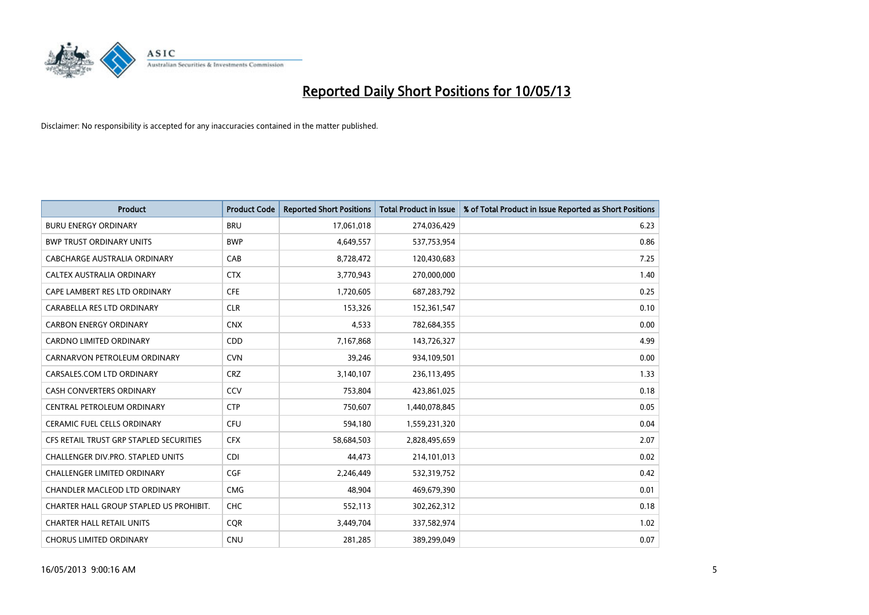

| <b>Product</b>                          | <b>Product Code</b> | <b>Reported Short Positions</b> | <b>Total Product in Issue</b> | % of Total Product in Issue Reported as Short Positions |
|-----------------------------------------|---------------------|---------------------------------|-------------------------------|---------------------------------------------------------|
| <b>BURU ENERGY ORDINARY</b>             | <b>BRU</b>          | 17,061,018                      | 274,036,429                   | 6.23                                                    |
| <b>BWP TRUST ORDINARY UNITS</b>         | <b>BWP</b>          | 4,649,557                       | 537,753,954                   | 0.86                                                    |
| CABCHARGE AUSTRALIA ORDINARY            | CAB                 | 8,728,472                       | 120,430,683                   | 7.25                                                    |
| CALTEX AUSTRALIA ORDINARY               | <b>CTX</b>          | 3,770,943                       | 270,000,000                   | 1.40                                                    |
| CAPE LAMBERT RES LTD ORDINARY           | <b>CFE</b>          | 1,720,605                       | 687,283,792                   | 0.25                                                    |
| CARABELLA RES LTD ORDINARY              | <b>CLR</b>          | 153,326                         | 152,361,547                   | 0.10                                                    |
| <b>CARBON ENERGY ORDINARY</b>           | <b>CNX</b>          | 4,533                           | 782,684,355                   | 0.00                                                    |
| <b>CARDNO LIMITED ORDINARY</b>          | <b>CDD</b>          | 7,167,868                       | 143,726,327                   | 4.99                                                    |
| CARNARVON PETROLEUM ORDINARY            | <b>CVN</b>          | 39,246                          | 934,109,501                   | 0.00                                                    |
| CARSALES.COM LTD ORDINARY               | <b>CRZ</b>          | 3,140,107                       | 236,113,495                   | 1.33                                                    |
| CASH CONVERTERS ORDINARY                | CCV                 | 753,804                         | 423,861,025                   | 0.18                                                    |
| CENTRAL PETROLEUM ORDINARY              | <b>CTP</b>          | 750,607                         | 1,440,078,845                 | 0.05                                                    |
| <b>CERAMIC FUEL CELLS ORDINARY</b>      | <b>CFU</b>          | 594,180                         | 1,559,231,320                 | 0.04                                                    |
| CFS RETAIL TRUST GRP STAPLED SECURITIES | <b>CFX</b>          | 58,684,503                      | 2,828,495,659                 | 2.07                                                    |
| CHALLENGER DIV.PRO. STAPLED UNITS       | <b>CDI</b>          | 44.473                          | 214,101,013                   | 0.02                                                    |
| <b>CHALLENGER LIMITED ORDINARY</b>      | <b>CGF</b>          | 2,246,449                       | 532,319,752                   | 0.42                                                    |
| CHANDLER MACLEOD LTD ORDINARY           | <b>CMG</b>          | 48,904                          | 469,679,390                   | 0.01                                                    |
| CHARTER HALL GROUP STAPLED US PROHIBIT. | <b>CHC</b>          | 552,113                         | 302,262,312                   | 0.18                                                    |
| <b>CHARTER HALL RETAIL UNITS</b>        | <b>COR</b>          | 3,449,704                       | 337,582,974                   | 1.02                                                    |
| <b>CHORUS LIMITED ORDINARY</b>          | <b>CNU</b>          | 281,285                         | 389,299,049                   | 0.07                                                    |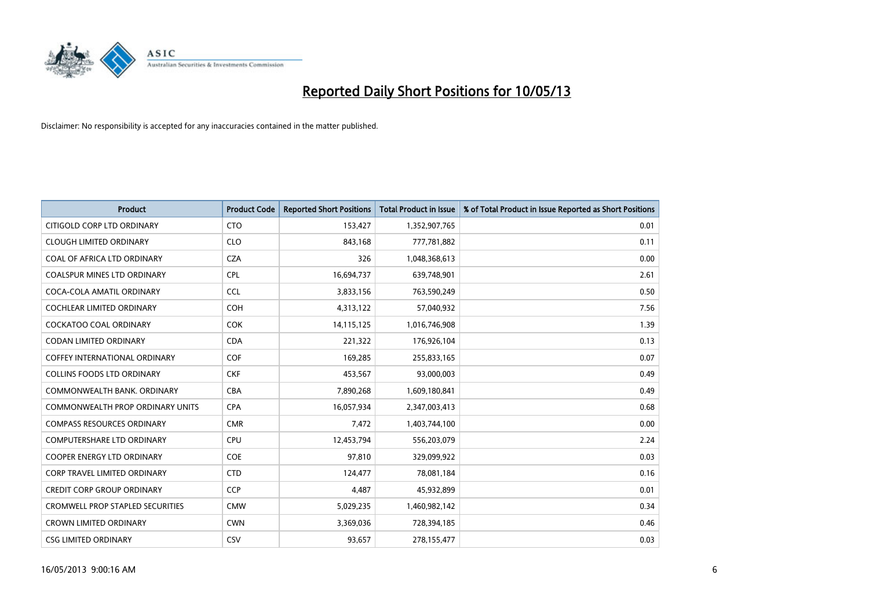

| <b>Product</b>                          | <b>Product Code</b> | <b>Reported Short Positions</b> | <b>Total Product in Issue</b> | % of Total Product in Issue Reported as Short Positions |
|-----------------------------------------|---------------------|---------------------------------|-------------------------------|---------------------------------------------------------|
| CITIGOLD CORP LTD ORDINARY              | <b>CTO</b>          | 153,427                         | 1,352,907,765                 | 0.01                                                    |
| <b>CLOUGH LIMITED ORDINARY</b>          | <b>CLO</b>          | 843,168                         | 777,781,882                   | 0.11                                                    |
| <b>COAL OF AFRICA LTD ORDINARY</b>      | <b>CZA</b>          | 326                             | 1,048,368,613                 | 0.00                                                    |
| COALSPUR MINES LTD ORDINARY             | <b>CPL</b>          | 16,694,737                      | 639,748,901                   | 2.61                                                    |
| COCA-COLA AMATIL ORDINARY               | <b>CCL</b>          | 3,833,156                       | 763,590,249                   | 0.50                                                    |
| <b>COCHLEAR LIMITED ORDINARY</b>        | <b>COH</b>          | 4,313,122                       | 57,040,932                    | 7.56                                                    |
| <b>COCKATOO COAL ORDINARY</b>           | <b>COK</b>          | 14,115,125                      | 1,016,746,908                 | 1.39                                                    |
| <b>CODAN LIMITED ORDINARY</b>           | <b>CDA</b>          | 221,322                         | 176,926,104                   | 0.13                                                    |
| <b>COFFEY INTERNATIONAL ORDINARY</b>    | <b>COF</b>          | 169,285                         | 255,833,165                   | 0.07                                                    |
| <b>COLLINS FOODS LTD ORDINARY</b>       | <b>CKF</b>          | 453,567                         | 93,000,003                    | 0.49                                                    |
| COMMONWEALTH BANK, ORDINARY             | <b>CBA</b>          | 7,890,268                       | 1,609,180,841                 | 0.49                                                    |
| <b>COMMONWEALTH PROP ORDINARY UNITS</b> | <b>CPA</b>          | 16,057,934                      | 2,347,003,413                 | 0.68                                                    |
| <b>COMPASS RESOURCES ORDINARY</b>       | <b>CMR</b>          | 7,472                           | 1,403,744,100                 | 0.00                                                    |
| <b>COMPUTERSHARE LTD ORDINARY</b>       | <b>CPU</b>          | 12,453,794                      | 556,203,079                   | 2.24                                                    |
| <b>COOPER ENERGY LTD ORDINARY</b>       | COE                 | 97,810                          | 329,099,922                   | 0.03                                                    |
| <b>CORP TRAVEL LIMITED ORDINARY</b>     | <b>CTD</b>          | 124,477                         | 78,081,184                    | 0.16                                                    |
| <b>CREDIT CORP GROUP ORDINARY</b>       | <b>CCP</b>          | 4,487                           | 45,932,899                    | 0.01                                                    |
| <b>CROMWELL PROP STAPLED SECURITIES</b> | <b>CMW</b>          | 5,029,235                       | 1,460,982,142                 | 0.34                                                    |
| <b>CROWN LIMITED ORDINARY</b>           | <b>CWN</b>          | 3,369,036                       | 728,394,185                   | 0.46                                                    |
| <b>CSG LIMITED ORDINARY</b>             | CSV                 | 93.657                          | 278,155,477                   | 0.03                                                    |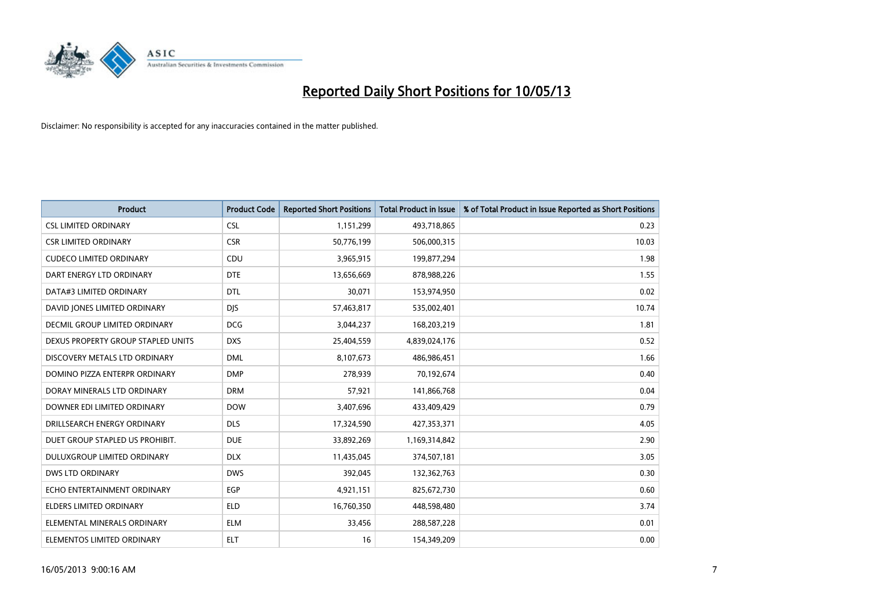

| <b>Product</b>                       | <b>Product Code</b> | <b>Reported Short Positions</b> | <b>Total Product in Issue</b> | % of Total Product in Issue Reported as Short Positions |
|--------------------------------------|---------------------|---------------------------------|-------------------------------|---------------------------------------------------------|
| <b>CSL LIMITED ORDINARY</b>          | <b>CSL</b>          | 1,151,299                       | 493,718,865                   | 0.23                                                    |
| <b>CSR LIMITED ORDINARY</b>          | <b>CSR</b>          | 50,776,199                      | 506,000,315                   | 10.03                                                   |
| <b>CUDECO LIMITED ORDINARY</b>       | <b>CDU</b>          | 3,965,915                       | 199,877,294                   | 1.98                                                    |
| DART ENERGY LTD ORDINARY             | <b>DTE</b>          | 13,656,669                      | 878,988,226                   | 1.55                                                    |
| DATA#3 LIMITED ORDINARY              | <b>DTL</b>          | 30,071                          | 153,974,950                   | 0.02                                                    |
| DAVID JONES LIMITED ORDINARY         | <b>DJS</b>          | 57,463,817                      | 535,002,401                   | 10.74                                                   |
| <b>DECMIL GROUP LIMITED ORDINARY</b> | <b>DCG</b>          | 3,044,237                       | 168,203,219                   | 1.81                                                    |
| DEXUS PROPERTY GROUP STAPLED UNITS   | <b>DXS</b>          | 25,404,559                      | 4,839,024,176                 | 0.52                                                    |
| DISCOVERY METALS LTD ORDINARY        | <b>DML</b>          | 8,107,673                       | 486,986,451                   | 1.66                                                    |
| DOMINO PIZZA ENTERPR ORDINARY        | <b>DMP</b>          | 278,939                         | 70,192,674                    | 0.40                                                    |
| DORAY MINERALS LTD ORDINARY          | <b>DRM</b>          | 57,921                          | 141,866,768                   | 0.04                                                    |
| DOWNER EDI LIMITED ORDINARY          | <b>DOW</b>          | 3,407,696                       | 433,409,429                   | 0.79                                                    |
| DRILLSEARCH ENERGY ORDINARY          | <b>DLS</b>          | 17,324,590                      | 427,353,371                   | 4.05                                                    |
| DUET GROUP STAPLED US PROHIBIT.      | <b>DUE</b>          | 33,892,269                      | 1,169,314,842                 | 2.90                                                    |
| DULUXGROUP LIMITED ORDINARY          | <b>DLX</b>          | 11,435,045                      | 374,507,181                   | 3.05                                                    |
| DWS LTD ORDINARY                     | <b>DWS</b>          | 392,045                         | 132,362,763                   | 0.30                                                    |
| ECHO ENTERTAINMENT ORDINARY          | <b>EGP</b>          | 4,921,151                       | 825,672,730                   | 0.60                                                    |
| ELDERS LIMITED ORDINARY              | <b>ELD</b>          | 16,760,350                      | 448,598,480                   | 3.74                                                    |
| ELEMENTAL MINERALS ORDINARY          | <b>ELM</b>          | 33,456                          | 288,587,228                   | 0.01                                                    |
| ELEMENTOS LIMITED ORDINARY           | <b>ELT</b>          | 16                              | 154,349,209                   | 0.00                                                    |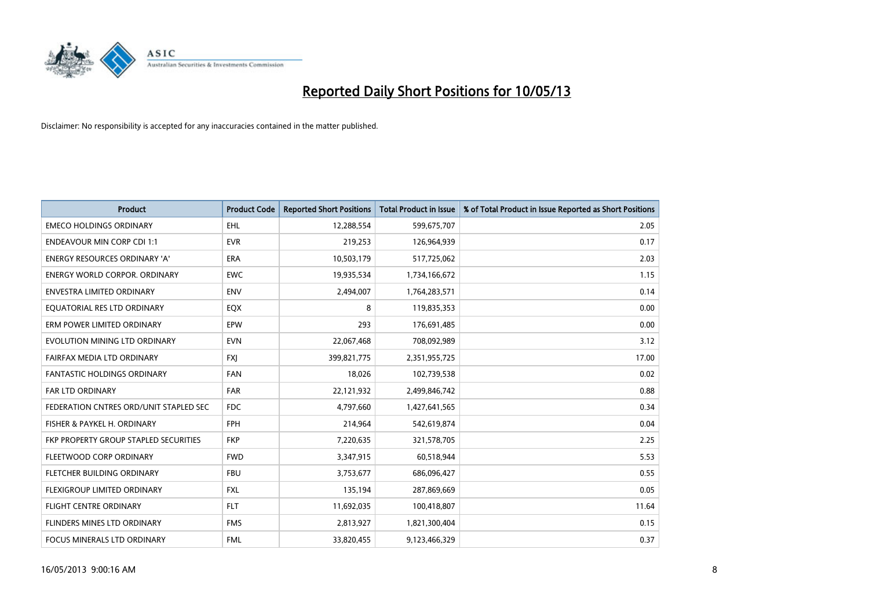

| <b>Product</b>                         | <b>Product Code</b> | <b>Reported Short Positions</b> | <b>Total Product in Issue</b> | % of Total Product in Issue Reported as Short Positions |
|----------------------------------------|---------------------|---------------------------------|-------------------------------|---------------------------------------------------------|
| <b>EMECO HOLDINGS ORDINARY</b>         | <b>EHL</b>          | 12,288,554                      | 599,675,707                   | 2.05                                                    |
| <b>ENDEAVOUR MIN CORP CDI 1:1</b>      | <b>EVR</b>          | 219,253                         | 126,964,939                   | 0.17                                                    |
| <b>ENERGY RESOURCES ORDINARY 'A'</b>   | <b>ERA</b>          | 10,503,179                      | 517,725,062                   | 2.03                                                    |
| <b>ENERGY WORLD CORPOR. ORDINARY</b>   | <b>EWC</b>          | 19,935,534                      | 1,734,166,672                 | 1.15                                                    |
| <b>ENVESTRA LIMITED ORDINARY</b>       | <b>ENV</b>          | 2,494,007                       | 1,764,283,571                 | 0.14                                                    |
| EQUATORIAL RES LTD ORDINARY            | <b>EQX</b>          | 8                               | 119,835,353                   | 0.00                                                    |
| ERM POWER LIMITED ORDINARY             | EPW                 | 293                             | 176,691,485                   | 0.00                                                    |
| EVOLUTION MINING LTD ORDINARY          | <b>EVN</b>          | 22,067,468                      | 708,092,989                   | 3.12                                                    |
| FAIRFAX MEDIA LTD ORDINARY             | <b>FXI</b>          | 399,821,775                     | 2,351,955,725                 | 17.00                                                   |
| <b>FANTASTIC HOLDINGS ORDINARY</b>     | <b>FAN</b>          | 18,026                          | 102,739,538                   | 0.02                                                    |
| <b>FAR LTD ORDINARY</b>                | <b>FAR</b>          | 22,121,932                      | 2,499,846,742                 | 0.88                                                    |
| FEDERATION CNTRES ORD/UNIT STAPLED SEC | <b>FDC</b>          | 4,797,660                       | 1,427,641,565                 | 0.34                                                    |
| FISHER & PAYKEL H. ORDINARY            | <b>FPH</b>          | 214,964                         | 542,619,874                   | 0.04                                                    |
| FKP PROPERTY GROUP STAPLED SECURITIES  | <b>FKP</b>          | 7,220,635                       | 321,578,705                   | 2.25                                                    |
| FLEETWOOD CORP ORDINARY                | <b>FWD</b>          | 3,347,915                       | 60,518,944                    | 5.53                                                    |
| FLETCHER BUILDING ORDINARY             | <b>FBU</b>          | 3,753,677                       | 686,096,427                   | 0.55                                                    |
| FLEXIGROUP LIMITED ORDINARY            | <b>FXL</b>          | 135,194                         | 287,869,669                   | 0.05                                                    |
| <b>FLIGHT CENTRE ORDINARY</b>          | <b>FLT</b>          | 11,692,035                      | 100,418,807                   | 11.64                                                   |
| FLINDERS MINES LTD ORDINARY            | <b>FMS</b>          | 2,813,927                       | 1,821,300,404                 | 0.15                                                    |
| FOCUS MINERALS LTD ORDINARY            | <b>FML</b>          | 33,820,455                      | 9,123,466,329                 | 0.37                                                    |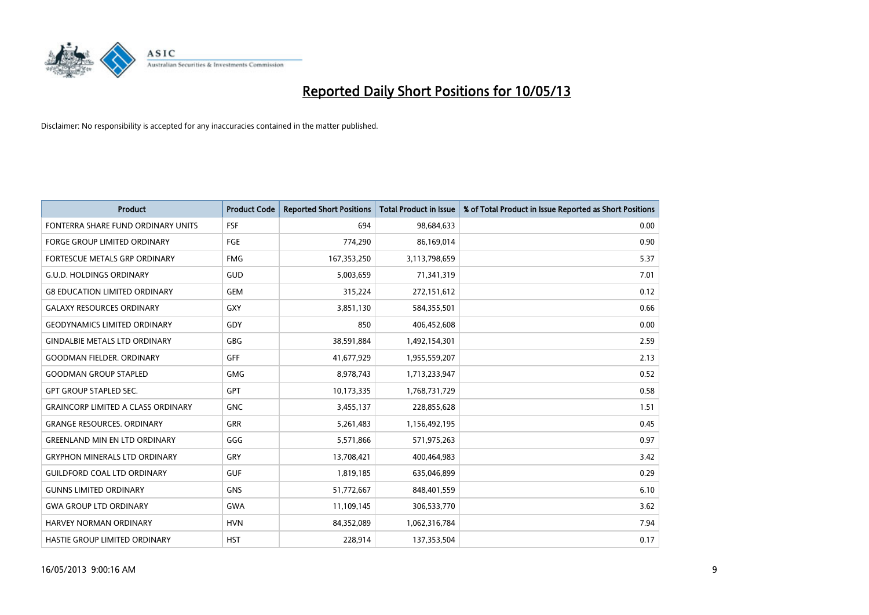

| <b>Product</b>                            | <b>Product Code</b> | <b>Reported Short Positions</b> | <b>Total Product in Issue</b> | % of Total Product in Issue Reported as Short Positions |
|-------------------------------------------|---------------------|---------------------------------|-------------------------------|---------------------------------------------------------|
| FONTERRA SHARE FUND ORDINARY UNITS        | FSF                 | 694                             | 98,684,633                    | 0.00                                                    |
| <b>FORGE GROUP LIMITED ORDINARY</b>       | FGE                 | 774,290                         | 86,169,014                    | 0.90                                                    |
| FORTESCUE METALS GRP ORDINARY             | <b>FMG</b>          | 167,353,250                     | 3,113,798,659                 | 5.37                                                    |
| <b>G.U.D. HOLDINGS ORDINARY</b>           | GUD                 | 5,003,659                       | 71,341,319                    | 7.01                                                    |
| <b>G8 EDUCATION LIMITED ORDINARY</b>      | <b>GEM</b>          | 315,224                         | 272,151,612                   | 0.12                                                    |
| <b>GALAXY RESOURCES ORDINARY</b>          | <b>GXY</b>          | 3,851,130                       | 584,355,501                   | 0.66                                                    |
| <b>GEODYNAMICS LIMITED ORDINARY</b>       | GDY                 | 850                             | 406,452,608                   | 0.00                                                    |
| <b>GINDALBIE METALS LTD ORDINARY</b>      | <b>GBG</b>          | 38,591,884                      | 1,492,154,301                 | 2.59                                                    |
| <b>GOODMAN FIELDER, ORDINARY</b>          | GFF                 | 41,677,929                      | 1,955,559,207                 | 2.13                                                    |
| <b>GOODMAN GROUP STAPLED</b>              | <b>GMG</b>          | 8,978,743                       | 1,713,233,947                 | 0.52                                                    |
| <b>GPT GROUP STAPLED SEC.</b>             | <b>GPT</b>          | 10,173,335                      | 1,768,731,729                 | 0.58                                                    |
| <b>GRAINCORP LIMITED A CLASS ORDINARY</b> | <b>GNC</b>          | 3,455,137                       | 228,855,628                   | 1.51                                                    |
| <b>GRANGE RESOURCES, ORDINARY</b>         | <b>GRR</b>          | 5,261,483                       | 1,156,492,195                 | 0.45                                                    |
| <b>GREENLAND MIN EN LTD ORDINARY</b>      | GGG                 | 5,571,866                       | 571,975,263                   | 0.97                                                    |
| <b>GRYPHON MINERALS LTD ORDINARY</b>      | GRY                 | 13,708,421                      | 400,464,983                   | 3.42                                                    |
| <b>GUILDFORD COAL LTD ORDINARY</b>        | <b>GUF</b>          | 1,819,185                       | 635,046,899                   | 0.29                                                    |
| <b>GUNNS LIMITED ORDINARY</b>             | <b>GNS</b>          | 51,772,667                      | 848,401,559                   | 6.10                                                    |
| <b>GWA GROUP LTD ORDINARY</b>             | <b>GWA</b>          | 11,109,145                      | 306,533,770                   | 3.62                                                    |
| <b>HARVEY NORMAN ORDINARY</b>             | <b>HVN</b>          | 84,352,089                      | 1,062,316,784                 | 7.94                                                    |
| HASTIE GROUP LIMITED ORDINARY             | <b>HST</b>          | 228,914                         | 137,353,504                   | 0.17                                                    |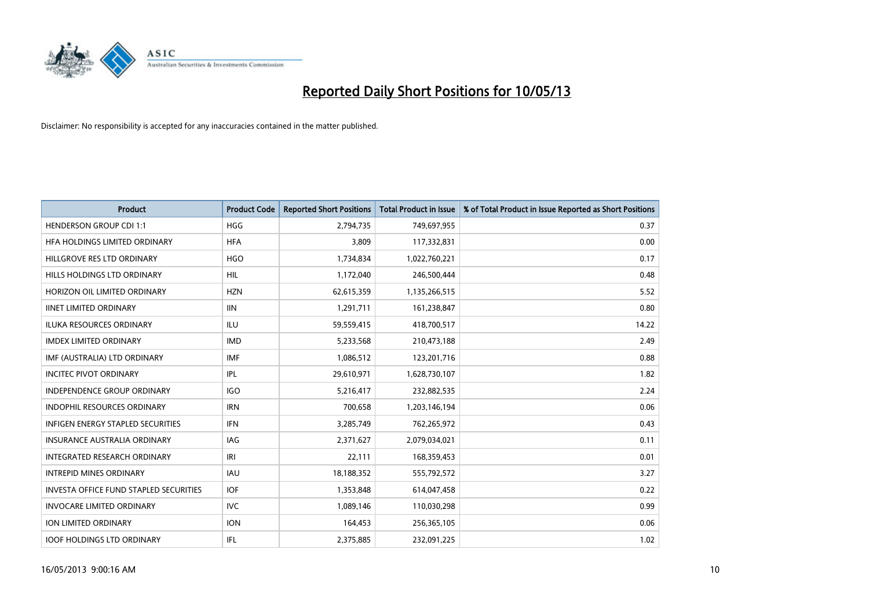

| <b>Product</b>                                | <b>Product Code</b> | <b>Reported Short Positions</b> | <b>Total Product in Issue</b> | % of Total Product in Issue Reported as Short Positions |
|-----------------------------------------------|---------------------|---------------------------------|-------------------------------|---------------------------------------------------------|
| <b>HENDERSON GROUP CDI 1:1</b>                | HGG                 | 2,794,735                       | 749,697,955                   | 0.37                                                    |
| HFA HOLDINGS LIMITED ORDINARY                 | <b>HFA</b>          | 3,809                           | 117,332,831                   | 0.00                                                    |
| HILLGROVE RES LTD ORDINARY                    | <b>HGO</b>          | 1,734,834                       | 1,022,760,221                 | 0.17                                                    |
| HILLS HOLDINGS LTD ORDINARY                   | HIL                 | 1,172,040                       | 246,500,444                   | 0.48                                                    |
| HORIZON OIL LIMITED ORDINARY                  | <b>HZN</b>          | 62,615,359                      | 1,135,266,515                 | 5.52                                                    |
| <b>IINET LIMITED ORDINARY</b>                 | <b>IIN</b>          | 1,291,711                       | 161,238,847                   | 0.80                                                    |
| <b>ILUKA RESOURCES ORDINARY</b>               | ILU                 | 59,559,415                      | 418,700,517                   | 14.22                                                   |
| <b>IMDEX LIMITED ORDINARY</b>                 | <b>IMD</b>          | 5,233,568                       | 210,473,188                   | 2.49                                                    |
| IMF (AUSTRALIA) LTD ORDINARY                  | IMF                 | 1,086,512                       | 123,201,716                   | 0.88                                                    |
| <b>INCITEC PIVOT ORDINARY</b>                 | IPL                 | 29,610,971                      | 1,628,730,107                 | 1.82                                                    |
| INDEPENDENCE GROUP ORDINARY                   | <b>IGO</b>          | 5,216,417                       | 232,882,535                   | 2.24                                                    |
| <b>INDOPHIL RESOURCES ORDINARY</b>            | <b>IRN</b>          | 700,658                         | 1,203,146,194                 | 0.06                                                    |
| <b>INFIGEN ENERGY STAPLED SECURITIES</b>      | <b>IFN</b>          | 3,285,749                       | 762,265,972                   | 0.43                                                    |
| <b>INSURANCE AUSTRALIA ORDINARY</b>           | IAG                 | 2,371,627                       | 2,079,034,021                 | 0.11                                                    |
| <b>INTEGRATED RESEARCH ORDINARY</b>           | IRI                 | 22,111                          | 168,359,453                   | 0.01                                                    |
| <b>INTREPID MINES ORDINARY</b>                | <b>IAU</b>          | 18,188,352                      | 555,792,572                   | 3.27                                                    |
| <b>INVESTA OFFICE FUND STAPLED SECURITIES</b> | <b>IOF</b>          | 1,353,848                       | 614,047,458                   | 0.22                                                    |
| INVOCARE LIMITED ORDINARY                     | IVC                 | 1,089,146                       | 110,030,298                   | 0.99                                                    |
| <b>ION LIMITED ORDINARY</b>                   | <b>ION</b>          | 164,453                         | 256,365,105                   | 0.06                                                    |
| <b>IOOF HOLDINGS LTD ORDINARY</b>             | IFL.                | 2,375,885                       | 232,091,225                   | 1.02                                                    |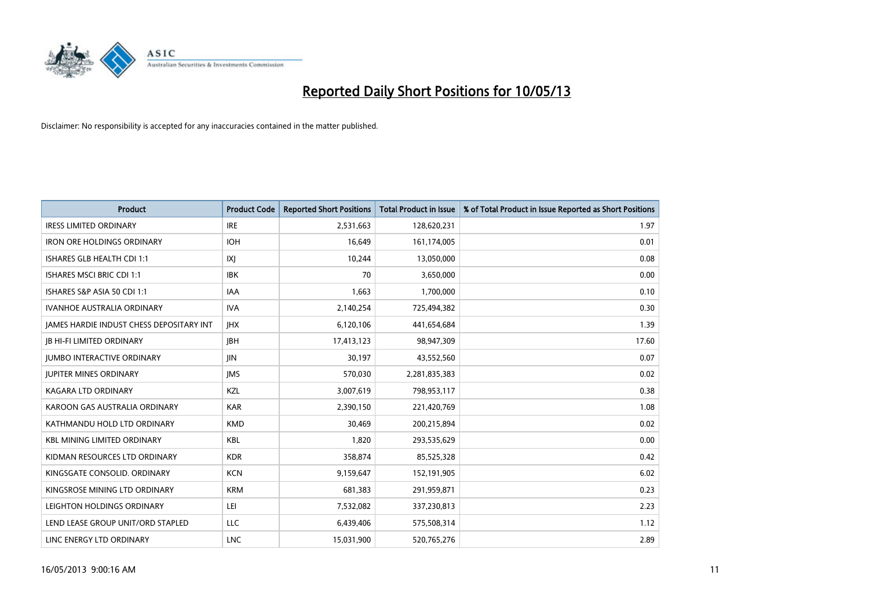

| <b>Product</b>                                  | <b>Product Code</b> | <b>Reported Short Positions</b> | <b>Total Product in Issue</b> | % of Total Product in Issue Reported as Short Positions |
|-------------------------------------------------|---------------------|---------------------------------|-------------------------------|---------------------------------------------------------|
| <b>IRESS LIMITED ORDINARY</b>                   | <b>IRE</b>          | 2,531,663                       | 128,620,231                   | 1.97                                                    |
| <b>IRON ORE HOLDINGS ORDINARY</b>               | <b>IOH</b>          | 16,649                          | 161,174,005                   | 0.01                                                    |
| ISHARES GLB HEALTH CDI 1:1                      | X                   | 10,244                          | 13,050,000                    | 0.08                                                    |
| ISHARES MSCI BRIC CDI 1:1                       | <b>IBK</b>          | 70                              | 3,650,000                     | 0.00                                                    |
| ISHARES S&P ASIA 50 CDI 1:1                     | <b>IAA</b>          | 1,663                           | 1,700,000                     | 0.10                                                    |
| <b>IVANHOE AUSTRALIA ORDINARY</b>               | <b>IVA</b>          | 2,140,254                       | 725,494,382                   | 0.30                                                    |
| <b>JAMES HARDIE INDUST CHESS DEPOSITARY INT</b> | <b>IHX</b>          | 6,120,106                       | 441,654,684                   | 1.39                                                    |
| <b>IB HI-FI LIMITED ORDINARY</b>                | <b>IBH</b>          | 17,413,123                      | 98,947,309                    | 17.60                                                   |
| <b>JUMBO INTERACTIVE ORDINARY</b>               | <b>JIN</b>          | 30,197                          | 43,552,560                    | 0.07                                                    |
| <b>JUPITER MINES ORDINARY</b>                   | <b>IMS</b>          | 570,030                         | 2,281,835,383                 | 0.02                                                    |
| KAGARA LTD ORDINARY                             | <b>KZL</b>          | 3,007,619                       | 798,953,117                   | 0.38                                                    |
| KAROON GAS AUSTRALIA ORDINARY                   | <b>KAR</b>          | 2,390,150                       | 221,420,769                   | 1.08                                                    |
| KATHMANDU HOLD LTD ORDINARY                     | <b>KMD</b>          | 30,469                          | 200,215,894                   | 0.02                                                    |
| <b>KBL MINING LIMITED ORDINARY</b>              | <b>KBL</b>          | 1,820                           | 293,535,629                   | 0.00                                                    |
| KIDMAN RESOURCES LTD ORDINARY                   | <b>KDR</b>          | 358,874                         | 85,525,328                    | 0.42                                                    |
| KINGSGATE CONSOLID. ORDINARY                    | <b>KCN</b>          | 9,159,647                       | 152,191,905                   | 6.02                                                    |
| KINGSROSE MINING LTD ORDINARY                   | <b>KRM</b>          | 681,383                         | 291,959,871                   | 0.23                                                    |
| LEIGHTON HOLDINGS ORDINARY                      | LEI                 | 7,532,082                       | 337,230,813                   | 2.23                                                    |
| LEND LEASE GROUP UNIT/ORD STAPLED               | <b>LLC</b>          | 6,439,406                       | 575,508,314                   | 1.12                                                    |
| LINC ENERGY LTD ORDINARY                        | <b>LNC</b>          | 15,031,900                      | 520,765,276                   | 2.89                                                    |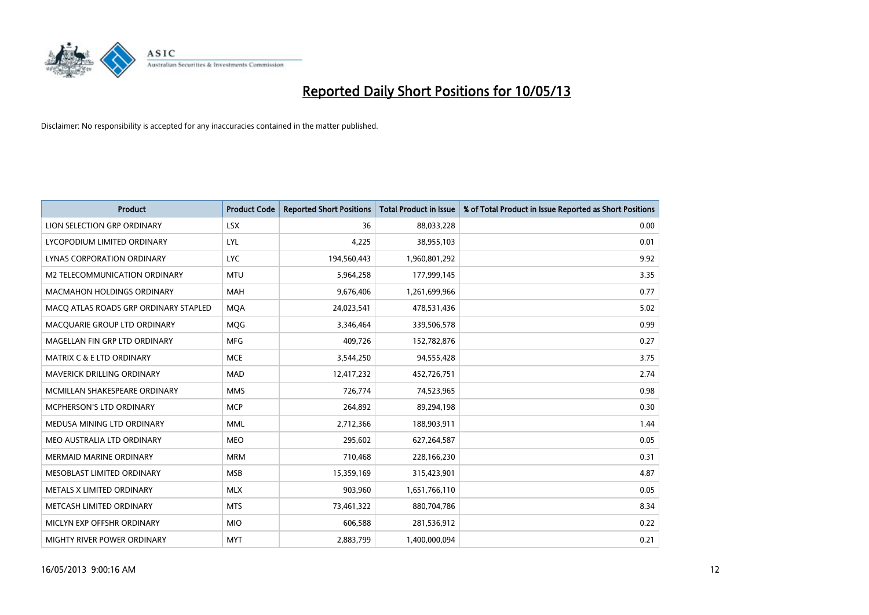

| <b>Product</b>                        | <b>Product Code</b> | <b>Reported Short Positions</b> | <b>Total Product in Issue</b> | % of Total Product in Issue Reported as Short Positions |
|---------------------------------------|---------------------|---------------------------------|-------------------------------|---------------------------------------------------------|
| LION SELECTION GRP ORDINARY           | <b>LSX</b>          | 36                              | 88,033,228                    | 0.00                                                    |
| LYCOPODIUM LIMITED ORDINARY           | LYL                 | 4,225                           | 38,955,103                    | 0.01                                                    |
| <b>LYNAS CORPORATION ORDINARY</b>     | <b>LYC</b>          | 194,560,443                     | 1,960,801,292                 | 9.92                                                    |
| M2 TELECOMMUNICATION ORDINARY         | <b>MTU</b>          | 5,964,258                       | 177,999,145                   | 3.35                                                    |
| <b>MACMAHON HOLDINGS ORDINARY</b>     | <b>MAH</b>          | 9,676,406                       | 1,261,699,966                 | 0.77                                                    |
| MACQ ATLAS ROADS GRP ORDINARY STAPLED | <b>MOA</b>          | 24,023,541                      | 478,531,436                   | 5.02                                                    |
| MACQUARIE GROUP LTD ORDINARY          | <b>MOG</b>          | 3,346,464                       | 339,506,578                   | 0.99                                                    |
| MAGELLAN FIN GRP LTD ORDINARY         | <b>MFG</b>          | 409,726                         | 152,782,876                   | 0.27                                                    |
| <b>MATRIX C &amp; E LTD ORDINARY</b>  | <b>MCE</b>          | 3,544,250                       | 94,555,428                    | 3.75                                                    |
| MAVERICK DRILLING ORDINARY            | <b>MAD</b>          | 12,417,232                      | 452,726,751                   | 2.74                                                    |
| MCMILLAN SHAKESPEARE ORDINARY         | <b>MMS</b>          | 726,774                         | 74,523,965                    | 0.98                                                    |
| <b>MCPHERSON'S LTD ORDINARY</b>       | <b>MCP</b>          | 264,892                         | 89,294,198                    | 0.30                                                    |
| MEDUSA MINING LTD ORDINARY            | <b>MML</b>          | 2,712,366                       | 188,903,911                   | 1.44                                                    |
| MEO AUSTRALIA LTD ORDINARY            | <b>MEO</b>          | 295,602                         | 627,264,587                   | 0.05                                                    |
| <b>MERMAID MARINE ORDINARY</b>        | <b>MRM</b>          | 710,468                         | 228,166,230                   | 0.31                                                    |
| MESOBLAST LIMITED ORDINARY            | <b>MSB</b>          | 15,359,169                      | 315,423,901                   | 4.87                                                    |
| METALS X LIMITED ORDINARY             | <b>MLX</b>          | 903,960                         | 1,651,766,110                 | 0.05                                                    |
| METCASH LIMITED ORDINARY              | <b>MTS</b>          | 73,461,322                      | 880,704,786                   | 8.34                                                    |
| MICLYN EXP OFFSHR ORDINARY            | <b>MIO</b>          | 606,588                         | 281,536,912                   | 0.22                                                    |
| <b>MIGHTY RIVER POWER ORDINARY</b>    | <b>MYT</b>          | 2,883,799                       | 1.400.000.094                 | 0.21                                                    |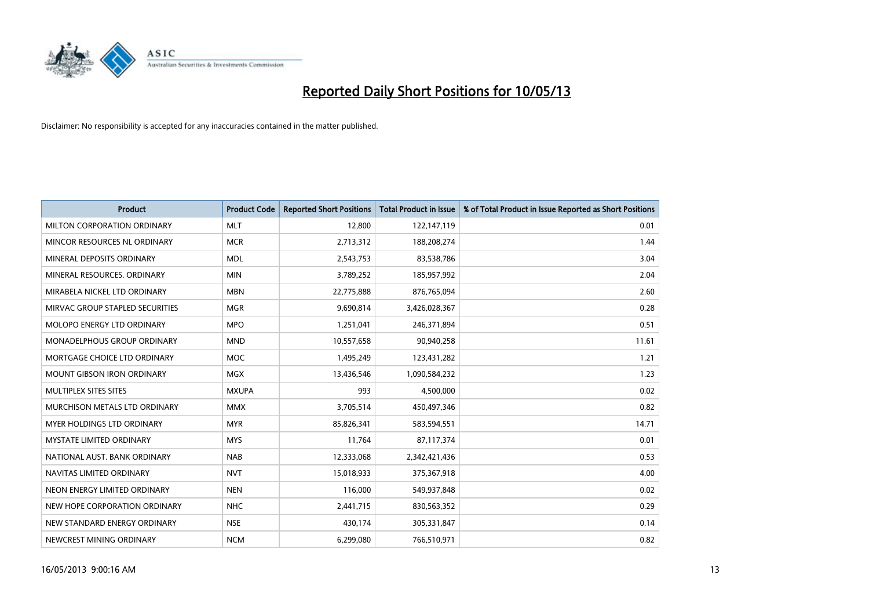

| <b>Product</b>                    | <b>Product Code</b> | <b>Reported Short Positions</b> | <b>Total Product in Issue</b> | % of Total Product in Issue Reported as Short Positions |
|-----------------------------------|---------------------|---------------------------------|-------------------------------|---------------------------------------------------------|
| MILTON CORPORATION ORDINARY       | <b>MLT</b>          | 12,800                          | 122,147,119                   | 0.01                                                    |
| MINCOR RESOURCES NL ORDINARY      | <b>MCR</b>          | 2,713,312                       | 188,208,274                   | 1.44                                                    |
| MINERAL DEPOSITS ORDINARY         | <b>MDL</b>          | 2,543,753                       | 83,538,786                    | 3.04                                                    |
| MINERAL RESOURCES. ORDINARY       | <b>MIN</b>          | 3,789,252                       | 185,957,992                   | 2.04                                                    |
| MIRABELA NICKEL LTD ORDINARY      | <b>MBN</b>          | 22,775,888                      | 876,765,094                   | 2.60                                                    |
| MIRVAC GROUP STAPLED SECURITIES   | <b>MGR</b>          | 9,690,814                       | 3,426,028,367                 | 0.28                                                    |
| <b>MOLOPO ENERGY LTD ORDINARY</b> | <b>MPO</b>          | 1,251,041                       | 246,371,894                   | 0.51                                                    |
| MONADELPHOUS GROUP ORDINARY       | <b>MND</b>          | 10,557,658                      | 90,940,258                    | 11.61                                                   |
| MORTGAGE CHOICE LTD ORDINARY      | <b>MOC</b>          | 1,495,249                       | 123,431,282                   | 1.21                                                    |
| <b>MOUNT GIBSON IRON ORDINARY</b> | <b>MGX</b>          | 13,436,546                      | 1,090,584,232                 | 1.23                                                    |
| MULTIPLEX SITES SITES             | <b>MXUPA</b>        | 993                             | 4,500,000                     | 0.02                                                    |
| MURCHISON METALS LTD ORDINARY     | <b>MMX</b>          | 3,705,514                       | 450,497,346                   | 0.82                                                    |
| MYER HOLDINGS LTD ORDINARY        | <b>MYR</b>          | 85,826,341                      | 583,594,551                   | 14.71                                                   |
| <b>MYSTATE LIMITED ORDINARY</b>   | <b>MYS</b>          | 11,764                          | 87,117,374                    | 0.01                                                    |
| NATIONAL AUST, BANK ORDINARY      | <b>NAB</b>          | 12,333,068                      | 2,342,421,436                 | 0.53                                                    |
| NAVITAS LIMITED ORDINARY          | <b>NVT</b>          | 15,018,933                      | 375,367,918                   | 4.00                                                    |
| NEON ENERGY LIMITED ORDINARY      | <b>NEN</b>          | 116,000                         | 549,937,848                   | 0.02                                                    |
| NEW HOPE CORPORATION ORDINARY     | <b>NHC</b>          | 2,441,715                       | 830,563,352                   | 0.29                                                    |
| NEW STANDARD ENERGY ORDINARY      | <b>NSE</b>          | 430,174                         | 305,331,847                   | 0.14                                                    |
| NEWCREST MINING ORDINARY          | <b>NCM</b>          | 6,299,080                       | 766,510,971                   | 0.82                                                    |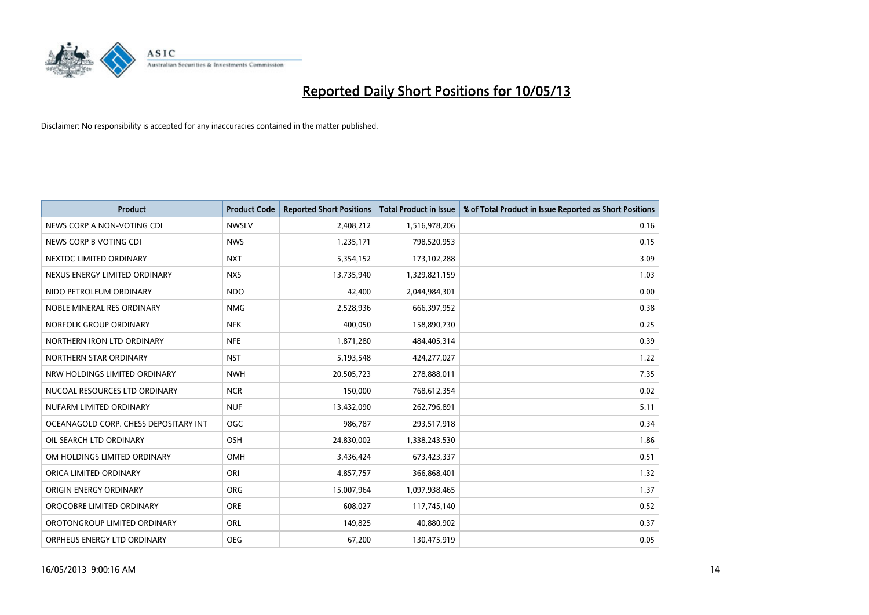

| <b>Product</b>                        | <b>Product Code</b> | <b>Reported Short Positions</b> | <b>Total Product in Issue</b> | % of Total Product in Issue Reported as Short Positions |
|---------------------------------------|---------------------|---------------------------------|-------------------------------|---------------------------------------------------------|
| NEWS CORP A NON-VOTING CDI            | <b>NWSLV</b>        | 2,408,212                       | 1,516,978,206                 | 0.16                                                    |
| NEWS CORP B VOTING CDI                | <b>NWS</b>          | 1,235,171                       | 798,520,953                   | 0.15                                                    |
| NEXTDC LIMITED ORDINARY               | <b>NXT</b>          | 5,354,152                       | 173,102,288                   | 3.09                                                    |
| NEXUS ENERGY LIMITED ORDINARY         | <b>NXS</b>          | 13,735,940                      | 1,329,821,159                 | 1.03                                                    |
| NIDO PETROLEUM ORDINARY               | <b>NDO</b>          | 42,400                          | 2,044,984,301                 | 0.00                                                    |
| NOBLE MINERAL RES ORDINARY            | <b>NMG</b>          | 2,528,936                       | 666,397,952                   | 0.38                                                    |
| NORFOLK GROUP ORDINARY                | <b>NFK</b>          | 400,050                         | 158,890,730                   | 0.25                                                    |
| NORTHERN IRON LTD ORDINARY            | <b>NFE</b>          | 1,871,280                       | 484,405,314                   | 0.39                                                    |
| NORTHERN STAR ORDINARY                | <b>NST</b>          | 5,193,548                       | 424,277,027                   | 1.22                                                    |
| NRW HOLDINGS LIMITED ORDINARY         | <b>NWH</b>          | 20,505,723                      | 278,888,011                   | 7.35                                                    |
| NUCOAL RESOURCES LTD ORDINARY         | <b>NCR</b>          | 150,000                         | 768,612,354                   | 0.02                                                    |
| NUFARM LIMITED ORDINARY               | <b>NUF</b>          | 13,432,090                      | 262,796,891                   | 5.11                                                    |
| OCEANAGOLD CORP. CHESS DEPOSITARY INT | <b>OGC</b>          | 986,787                         | 293,517,918                   | 0.34                                                    |
| OIL SEARCH LTD ORDINARY               | OSH                 | 24,830,002                      | 1,338,243,530                 | 1.86                                                    |
| OM HOLDINGS LIMITED ORDINARY          | OMH                 | 3,436,424                       | 673,423,337                   | 0.51                                                    |
| ORICA LIMITED ORDINARY                | ORI                 | 4,857,757                       | 366,868,401                   | 1.32                                                    |
| ORIGIN ENERGY ORDINARY                | <b>ORG</b>          | 15,007,964                      | 1,097,938,465                 | 1.37                                                    |
| OROCOBRE LIMITED ORDINARY             | <b>ORE</b>          | 608,027                         | 117,745,140                   | 0.52                                                    |
| OROTONGROUP LIMITED ORDINARY          | <b>ORL</b>          | 149,825                         | 40,880,902                    | 0.37                                                    |
| ORPHEUS ENERGY LTD ORDINARY           | <b>OEG</b>          | 67,200                          | 130,475,919                   | 0.05                                                    |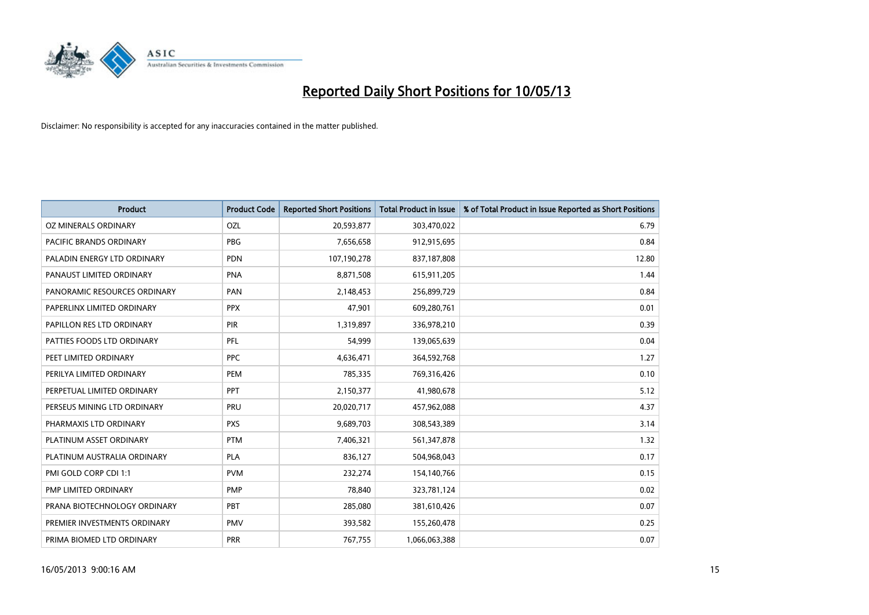

| <b>Product</b>               | <b>Product Code</b> | <b>Reported Short Positions</b> | <b>Total Product in Issue</b> | % of Total Product in Issue Reported as Short Positions |
|------------------------------|---------------------|---------------------------------|-------------------------------|---------------------------------------------------------|
| OZ MINERALS ORDINARY         | OZL                 | 20,593,877                      | 303,470,022                   | 6.79                                                    |
| PACIFIC BRANDS ORDINARY      | <b>PBG</b>          | 7,656,658                       | 912,915,695                   | 0.84                                                    |
| PALADIN ENERGY LTD ORDINARY  | <b>PDN</b>          | 107,190,278                     | 837,187,808                   | 12.80                                                   |
| PANAUST LIMITED ORDINARY     | <b>PNA</b>          | 8,871,508                       | 615,911,205                   | 1.44                                                    |
| PANORAMIC RESOURCES ORDINARY | PAN                 | 2,148,453                       | 256,899,729                   | 0.84                                                    |
| PAPERLINX LIMITED ORDINARY   | <b>PPX</b>          | 47,901                          | 609,280,761                   | 0.01                                                    |
| PAPILLON RES LTD ORDINARY    | PIR                 | 1,319,897                       | 336,978,210                   | 0.39                                                    |
| PATTIES FOODS LTD ORDINARY   | PFL                 | 54,999                          | 139,065,639                   | 0.04                                                    |
| PEET LIMITED ORDINARY        | <b>PPC</b>          | 4,636,471                       | 364,592,768                   | 1.27                                                    |
| PERILYA LIMITED ORDINARY     | PEM                 | 785,335                         | 769,316,426                   | 0.10                                                    |
| PERPETUAL LIMITED ORDINARY   | PPT                 | 2,150,377                       | 41,980,678                    | 5.12                                                    |
| PERSEUS MINING LTD ORDINARY  | PRU                 | 20,020,717                      | 457,962,088                   | 4.37                                                    |
| PHARMAXIS LTD ORDINARY       | <b>PXS</b>          | 9,689,703                       | 308,543,389                   | 3.14                                                    |
| PLATINUM ASSET ORDINARY      | <b>PTM</b>          | 7,406,321                       | 561,347,878                   | 1.32                                                    |
| PLATINUM AUSTRALIA ORDINARY  | <b>PLA</b>          | 836,127                         | 504,968,043                   | 0.17                                                    |
| PMI GOLD CORP CDI 1:1        | <b>PVM</b>          | 232,274                         | 154,140,766                   | 0.15                                                    |
| PMP LIMITED ORDINARY         | <b>PMP</b>          | 78,840                          | 323,781,124                   | 0.02                                                    |
| PRANA BIOTECHNOLOGY ORDINARY | PBT                 | 285,080                         | 381,610,426                   | 0.07                                                    |
| PREMIER INVESTMENTS ORDINARY | <b>PMV</b>          | 393,582                         | 155,260,478                   | 0.25                                                    |
| PRIMA BIOMED LTD ORDINARY    | <b>PRR</b>          | 767,755                         | 1,066,063,388                 | 0.07                                                    |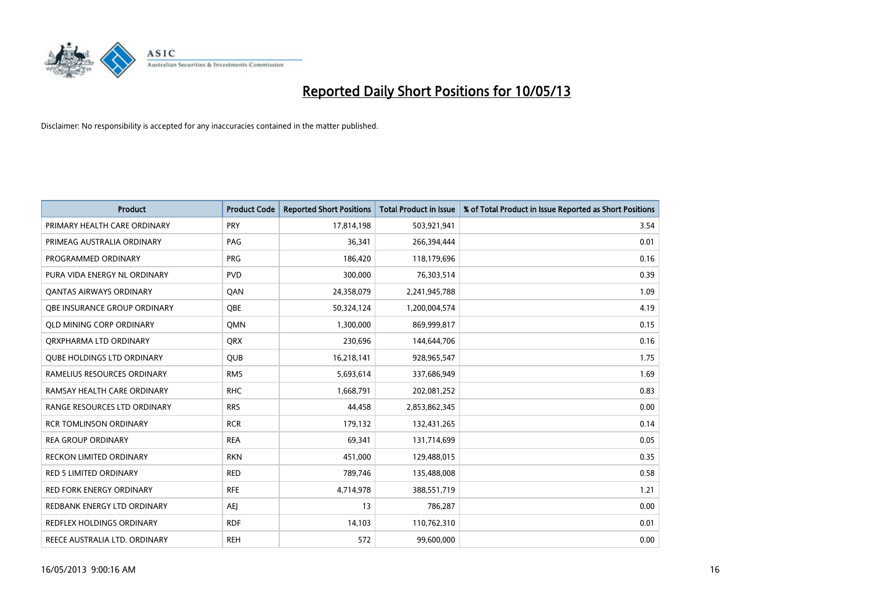

| <b>Product</b>                    | <b>Product Code</b> | <b>Reported Short Positions</b> | <b>Total Product in Issue</b> | % of Total Product in Issue Reported as Short Positions |
|-----------------------------------|---------------------|---------------------------------|-------------------------------|---------------------------------------------------------|
| PRIMARY HEALTH CARE ORDINARY      | <b>PRY</b>          | 17,814,198                      | 503,921,941                   | 3.54                                                    |
| PRIMEAG AUSTRALIA ORDINARY        | PAG                 | 36,341                          | 266,394,444                   | 0.01                                                    |
| PROGRAMMED ORDINARY               | <b>PRG</b>          | 186,420                         | 118,179,696                   | 0.16                                                    |
| PURA VIDA ENERGY NL ORDINARY      | <b>PVD</b>          | 300,000                         | 76,303,514                    | 0.39                                                    |
| <b>QANTAS AIRWAYS ORDINARY</b>    | QAN                 | 24,358,079                      | 2,241,945,788                 | 1.09                                                    |
| OBE INSURANCE GROUP ORDINARY      | <b>OBE</b>          | 50,324,124                      | 1,200,004,574                 | 4.19                                                    |
| <b>QLD MINING CORP ORDINARY</b>   | <b>OMN</b>          | 1,300,000                       | 869,999,817                   | 0.15                                                    |
| ORXPHARMA LTD ORDINARY            | <b>QRX</b>          | 230,696                         | 144,644,706                   | 0.16                                                    |
| <b>QUBE HOLDINGS LTD ORDINARY</b> | <b>OUB</b>          | 16,218,141                      | 928,965,547                   | 1.75                                                    |
| RAMELIUS RESOURCES ORDINARY       | <b>RMS</b>          | 5,693,614                       | 337,686,949                   | 1.69                                                    |
| RAMSAY HEALTH CARE ORDINARY       | <b>RHC</b>          | 1,668,791                       | 202,081,252                   | 0.83                                                    |
| RANGE RESOURCES LTD ORDINARY      | <b>RRS</b>          | 44,458                          | 2,853,862,345                 | 0.00                                                    |
| <b>RCR TOMLINSON ORDINARY</b>     | <b>RCR</b>          | 179,132                         | 132,431,265                   | 0.14                                                    |
| <b>REA GROUP ORDINARY</b>         | <b>REA</b>          | 69,341                          | 131,714,699                   | 0.05                                                    |
| <b>RECKON LIMITED ORDINARY</b>    | <b>RKN</b>          | 451,000                         | 129,488,015                   | 0.35                                                    |
| RED 5 LIMITED ORDINARY            | <b>RED</b>          | 789,746                         | 135,488,008                   | 0.58                                                    |
| RED FORK ENERGY ORDINARY          | <b>RFE</b>          | 4,714,978                       | 388,551,719                   | 1.21                                                    |
| REDBANK ENERGY LTD ORDINARY       | AEJ                 | 13                              | 786,287                       | 0.00                                                    |
| <b>REDFLEX HOLDINGS ORDINARY</b>  | <b>RDF</b>          | 14,103                          | 110,762,310                   | 0.01                                                    |
| REECE AUSTRALIA LTD. ORDINARY     | <b>REH</b>          | 572                             | 99,600,000                    | 0.00                                                    |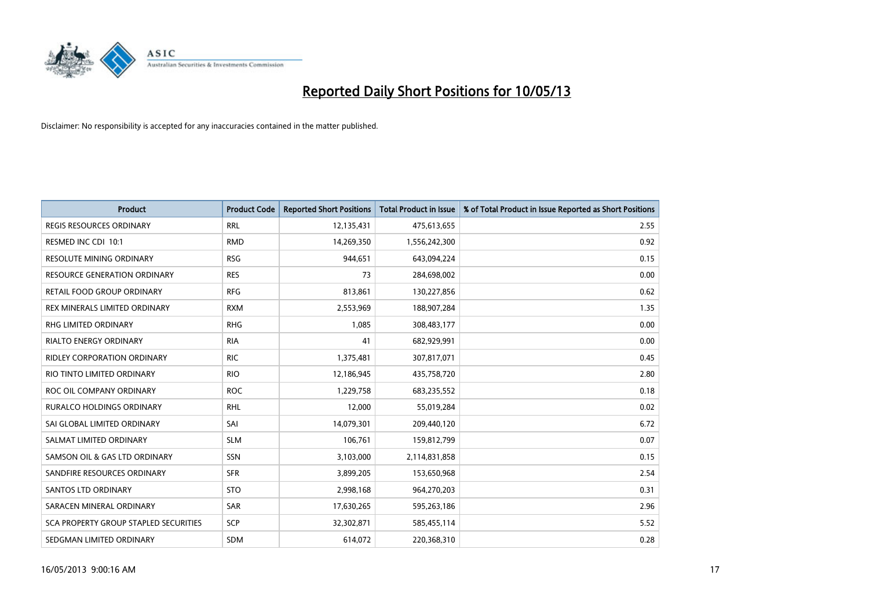

| <b>Product</b>                        | <b>Product Code</b> | <b>Reported Short Positions</b> | <b>Total Product in Issue</b> | % of Total Product in Issue Reported as Short Positions |
|---------------------------------------|---------------------|---------------------------------|-------------------------------|---------------------------------------------------------|
| <b>REGIS RESOURCES ORDINARY</b>       | <b>RRL</b>          | 12,135,431                      | 475,613,655                   | 2.55                                                    |
| RESMED INC CDI 10:1                   | <b>RMD</b>          | 14,269,350                      | 1,556,242,300                 | 0.92                                                    |
| <b>RESOLUTE MINING ORDINARY</b>       | <b>RSG</b>          | 944,651                         | 643,094,224                   | 0.15                                                    |
| RESOURCE GENERATION ORDINARY          | <b>RES</b>          | 73                              | 284,698,002                   | 0.00                                                    |
| RETAIL FOOD GROUP ORDINARY            | <b>RFG</b>          | 813,861                         | 130,227,856                   | 0.62                                                    |
| REX MINERALS LIMITED ORDINARY         | <b>RXM</b>          | 2,553,969                       | 188,907,284                   | 1.35                                                    |
| <b>RHG LIMITED ORDINARY</b>           | <b>RHG</b>          | 1.085                           | 308,483,177                   | 0.00                                                    |
| RIALTO ENERGY ORDINARY                | <b>RIA</b>          | 41                              | 682,929,991                   | 0.00                                                    |
| RIDLEY CORPORATION ORDINARY           | <b>RIC</b>          | 1,375,481                       | 307,817,071                   | 0.45                                                    |
| RIO TINTO LIMITED ORDINARY            | <b>RIO</b>          | 12,186,945                      | 435,758,720                   | 2.80                                                    |
| ROC OIL COMPANY ORDINARY              | <b>ROC</b>          | 1,229,758                       | 683,235,552                   | 0.18                                                    |
| <b>RURALCO HOLDINGS ORDINARY</b>      | <b>RHL</b>          | 12,000                          | 55,019,284                    | 0.02                                                    |
| SAI GLOBAL LIMITED ORDINARY           | SAI                 | 14,079,301                      | 209,440,120                   | 6.72                                                    |
| SALMAT LIMITED ORDINARY               | <b>SLM</b>          | 106,761                         | 159,812,799                   | 0.07                                                    |
| SAMSON OIL & GAS LTD ORDINARY         | SSN                 | 3,103,000                       | 2,114,831,858                 | 0.15                                                    |
| SANDFIRE RESOURCES ORDINARY           | <b>SFR</b>          | 3,899,205                       | 153,650,968                   | 2.54                                                    |
| <b>SANTOS LTD ORDINARY</b>            | <b>STO</b>          | 2,998,168                       | 964,270,203                   | 0.31                                                    |
| SARACEN MINERAL ORDINARY              | <b>SAR</b>          | 17,630,265                      | 595,263,186                   | 2.96                                                    |
| SCA PROPERTY GROUP STAPLED SECURITIES | <b>SCP</b>          | 32,302,871                      | 585,455,114                   | 5.52                                                    |
| SEDGMAN LIMITED ORDINARY              | <b>SDM</b>          | 614.072                         | 220,368,310                   | 0.28                                                    |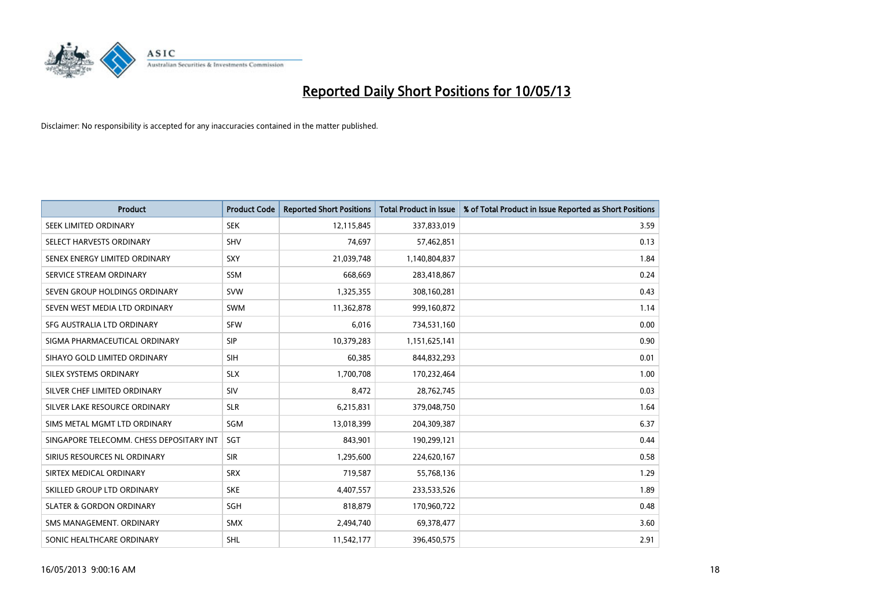

| <b>Product</b>                           | <b>Product Code</b> | <b>Reported Short Positions</b> | <b>Total Product in Issue</b> | % of Total Product in Issue Reported as Short Positions |
|------------------------------------------|---------------------|---------------------------------|-------------------------------|---------------------------------------------------------|
| SEEK LIMITED ORDINARY                    | <b>SEK</b>          | 12,115,845                      | 337,833,019                   | 3.59                                                    |
| SELECT HARVESTS ORDINARY                 | <b>SHV</b>          | 74,697                          | 57,462,851                    | 0.13                                                    |
| SENEX ENERGY LIMITED ORDINARY            | SXY                 | 21,039,748                      | 1,140,804,837                 | 1.84                                                    |
| SERVICE STREAM ORDINARY                  | <b>SSM</b>          | 668,669                         | 283,418,867                   | 0.24                                                    |
| SEVEN GROUP HOLDINGS ORDINARY            | <b>SVW</b>          | 1,325,355                       | 308,160,281                   | 0.43                                                    |
| SEVEN WEST MEDIA LTD ORDINARY            | <b>SWM</b>          | 11,362,878                      | 999,160,872                   | 1.14                                                    |
| SFG AUSTRALIA LTD ORDINARY               | <b>SFW</b>          | 6,016                           | 734,531,160                   | 0.00                                                    |
| SIGMA PHARMACEUTICAL ORDINARY            | <b>SIP</b>          | 10,379,283                      | 1,151,625,141                 | 0.90                                                    |
| SIHAYO GOLD LIMITED ORDINARY             | <b>SIH</b>          | 60,385                          | 844,832,293                   | 0.01                                                    |
| SILEX SYSTEMS ORDINARY                   | <b>SLX</b>          | 1,700,708                       | 170,232,464                   | 1.00                                                    |
| SILVER CHEF LIMITED ORDINARY             | <b>SIV</b>          | 8,472                           | 28,762,745                    | 0.03                                                    |
| SILVER LAKE RESOURCE ORDINARY            | <b>SLR</b>          | 6,215,831                       | 379,048,750                   | 1.64                                                    |
| SIMS METAL MGMT LTD ORDINARY             | <b>SGM</b>          | 13,018,399                      | 204,309,387                   | 6.37                                                    |
| SINGAPORE TELECOMM. CHESS DEPOSITARY INT | SGT                 | 843,901                         | 190,299,121                   | 0.44                                                    |
| SIRIUS RESOURCES NL ORDINARY             | <b>SIR</b>          | 1,295,600                       | 224,620,167                   | 0.58                                                    |
| SIRTEX MEDICAL ORDINARY                  | <b>SRX</b>          | 719,587                         | 55,768,136                    | 1.29                                                    |
| SKILLED GROUP LTD ORDINARY               | <b>SKE</b>          | 4,407,557                       | 233,533,526                   | 1.89                                                    |
| <b>SLATER &amp; GORDON ORDINARY</b>      | <b>SGH</b>          | 818,879                         | 170,960,722                   | 0.48                                                    |
| SMS MANAGEMENT, ORDINARY                 | <b>SMX</b>          | 2,494,740                       | 69,378,477                    | 3.60                                                    |
| SONIC HEALTHCARE ORDINARY                | SHL                 | 11,542,177                      | 396,450,575                   | 2.91                                                    |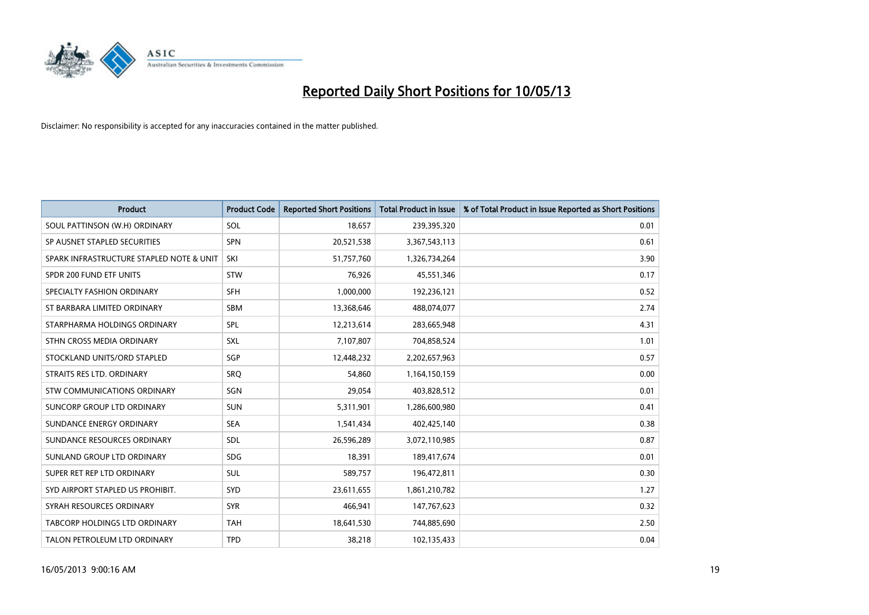

| <b>Product</b>                           | <b>Product Code</b> | <b>Reported Short Positions</b> | <b>Total Product in Issue</b> | % of Total Product in Issue Reported as Short Positions |
|------------------------------------------|---------------------|---------------------------------|-------------------------------|---------------------------------------------------------|
| SOUL PATTINSON (W.H) ORDINARY            | SOL                 | 18,657                          | 239,395,320                   | 0.01                                                    |
| SP AUSNET STAPLED SECURITIES             | <b>SPN</b>          | 20,521,538                      | 3,367,543,113                 | 0.61                                                    |
| SPARK INFRASTRUCTURE STAPLED NOTE & UNIT | SKI                 | 51,757,760                      | 1,326,734,264                 | 3.90                                                    |
| SPDR 200 FUND ETF UNITS                  | <b>STW</b>          | 76,926                          | 45,551,346                    | 0.17                                                    |
| SPECIALTY FASHION ORDINARY               | <b>SFH</b>          | 1,000,000                       | 192,236,121                   | 0.52                                                    |
| ST BARBARA LIMITED ORDINARY              | <b>SBM</b>          | 13,368,646                      | 488,074,077                   | 2.74                                                    |
| STARPHARMA HOLDINGS ORDINARY             | <b>SPL</b>          | 12,213,614                      | 283,665,948                   | 4.31                                                    |
| STHN CROSS MEDIA ORDINARY                | <b>SXL</b>          | 7,107,807                       | 704,858,524                   | 1.01                                                    |
| STOCKLAND UNITS/ORD STAPLED              | <b>SGP</b>          | 12,448,232                      | 2,202,657,963                 | 0.57                                                    |
| STRAITS RES LTD. ORDINARY                | SRO                 | 54,860                          | 1,164,150,159                 | 0.00                                                    |
| STW COMMUNICATIONS ORDINARY              | SGN                 | 29,054                          | 403,828,512                   | 0.01                                                    |
| SUNCORP GROUP LTD ORDINARY               | <b>SUN</b>          | 5,311,901                       | 1,286,600,980                 | 0.41                                                    |
| SUNDANCE ENERGY ORDINARY                 | <b>SEA</b>          | 1,541,434                       | 402,425,140                   | 0.38                                                    |
| SUNDANCE RESOURCES ORDINARY              | <b>SDL</b>          | 26,596,289                      | 3,072,110,985                 | 0.87                                                    |
| SUNLAND GROUP LTD ORDINARY               | <b>SDG</b>          | 18,391                          | 189,417,674                   | 0.01                                                    |
| SUPER RET REP LTD ORDINARY               | <b>SUL</b>          | 589,757                         | 196,472,811                   | 0.30                                                    |
| SYD AIRPORT STAPLED US PROHIBIT.         | <b>SYD</b>          | 23,611,655                      | 1,861,210,782                 | 1.27                                                    |
| SYRAH RESOURCES ORDINARY                 | <b>SYR</b>          | 466,941                         | 147,767,623                   | 0.32                                                    |
| TABCORP HOLDINGS LTD ORDINARY            | <b>TAH</b>          | 18,641,530                      | 744,885,690                   | 2.50                                                    |
| TALON PETROLEUM LTD ORDINARY             | <b>TPD</b>          | 38,218                          | 102,135,433                   | 0.04                                                    |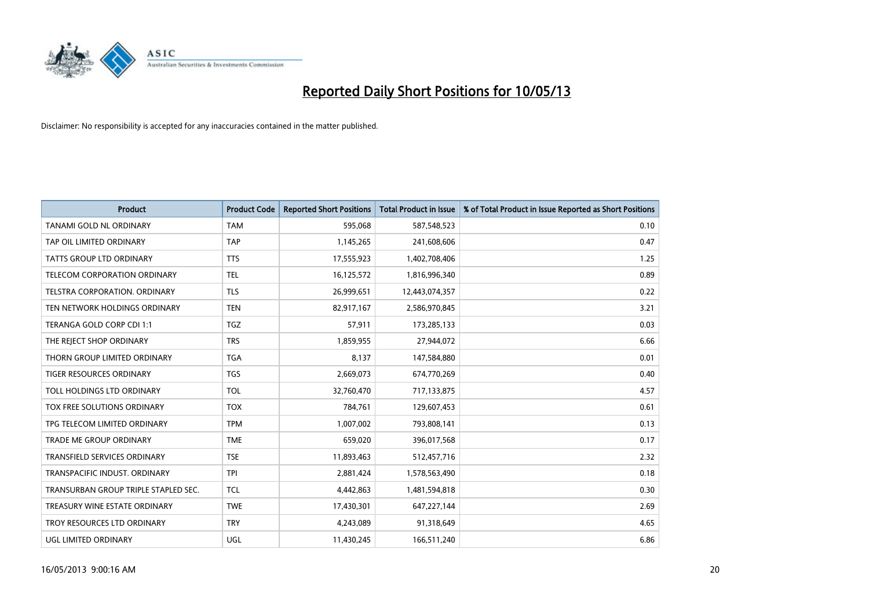

| <b>Product</b>                       | <b>Product Code</b> | <b>Reported Short Positions</b> | <b>Total Product in Issue</b> | % of Total Product in Issue Reported as Short Positions |
|--------------------------------------|---------------------|---------------------------------|-------------------------------|---------------------------------------------------------|
| <b>TANAMI GOLD NL ORDINARY</b>       | <b>TAM</b>          | 595,068                         | 587,548,523                   | 0.10                                                    |
| TAP OIL LIMITED ORDINARY             | <b>TAP</b>          | 1,145,265                       | 241,608,606                   | 0.47                                                    |
| <b>TATTS GROUP LTD ORDINARY</b>      | <b>TTS</b>          | 17,555,923                      | 1,402,708,406                 | 1.25                                                    |
| TELECOM CORPORATION ORDINARY         | <b>TEL</b>          | 16,125,572                      | 1,816,996,340                 | 0.89                                                    |
| <b>TELSTRA CORPORATION, ORDINARY</b> | <b>TLS</b>          | 26,999,651                      | 12,443,074,357                | 0.22                                                    |
| TEN NETWORK HOLDINGS ORDINARY        | <b>TEN</b>          | 82,917,167                      | 2,586,970,845                 | 3.21                                                    |
| TERANGA GOLD CORP CDI 1:1            | <b>TGZ</b>          | 57,911                          | 173,285,133                   | 0.03                                                    |
| THE REJECT SHOP ORDINARY             | <b>TRS</b>          | 1,859,955                       | 27,944,072                    | 6.66                                                    |
| THORN GROUP LIMITED ORDINARY         | <b>TGA</b>          | 8,137                           | 147,584,880                   | 0.01                                                    |
| <b>TIGER RESOURCES ORDINARY</b>      | <b>TGS</b>          | 2,669,073                       | 674,770,269                   | 0.40                                                    |
| TOLL HOLDINGS LTD ORDINARY           | <b>TOL</b>          | 32,760,470                      | 717,133,875                   | 4.57                                                    |
| TOX FREE SOLUTIONS ORDINARY          | <b>TOX</b>          | 784,761                         | 129,607,453                   | 0.61                                                    |
| TPG TELECOM LIMITED ORDINARY         | <b>TPM</b>          | 1,007,002                       | 793,808,141                   | 0.13                                                    |
| <b>TRADE ME GROUP ORDINARY</b>       | <b>TME</b>          | 659.020                         | 396,017,568                   | 0.17                                                    |
| TRANSFIELD SERVICES ORDINARY         | <b>TSE</b>          | 11,893,463                      | 512,457,716                   | 2.32                                                    |
| TRANSPACIFIC INDUST, ORDINARY        | <b>TPI</b>          | 2,881,424                       | 1,578,563,490                 | 0.18                                                    |
| TRANSURBAN GROUP TRIPLE STAPLED SEC. | <b>TCL</b>          | 4,442,863                       | 1,481,594,818                 | 0.30                                                    |
| TREASURY WINE ESTATE ORDINARY        | <b>TWE</b>          | 17,430,301                      | 647, 227, 144                 | 2.69                                                    |
| TROY RESOURCES LTD ORDINARY          | <b>TRY</b>          | 4,243,089                       | 91,318,649                    | 4.65                                                    |
| UGL LIMITED ORDINARY                 | UGL                 | 11,430,245                      | 166,511,240                   | 6.86                                                    |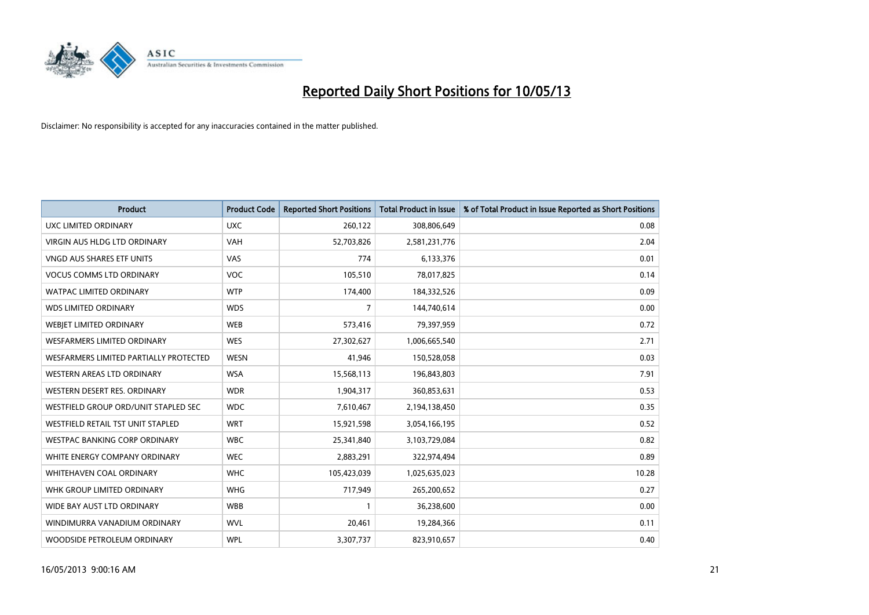

| <b>Product</b>                         | <b>Product Code</b> | <b>Reported Short Positions</b> | <b>Total Product in Issue</b> | % of Total Product in Issue Reported as Short Positions |
|----------------------------------------|---------------------|---------------------------------|-------------------------------|---------------------------------------------------------|
| UXC LIMITED ORDINARY                   | <b>UXC</b>          | 260,122                         | 308,806,649                   | 0.08                                                    |
| <b>VIRGIN AUS HLDG LTD ORDINARY</b>    | <b>VAH</b>          | 52,703,826                      | 2,581,231,776                 | 2.04                                                    |
| VNGD AUS SHARES ETF UNITS              | <b>VAS</b>          | 774                             | 6,133,376                     | 0.01                                                    |
| <b>VOCUS COMMS LTD ORDINARY</b>        | <b>VOC</b>          | 105,510                         | 78,017,825                    | 0.14                                                    |
| <b>WATPAC LIMITED ORDINARY</b>         | <b>WTP</b>          | 174,400                         | 184,332,526                   | 0.09                                                    |
| <b>WDS LIMITED ORDINARY</b>            | <b>WDS</b>          | 7                               | 144,740,614                   | 0.00                                                    |
| WEBJET LIMITED ORDINARY                | <b>WEB</b>          | 573,416                         | 79,397,959                    | 0.72                                                    |
| <b>WESFARMERS LIMITED ORDINARY</b>     | <b>WES</b>          | 27,302,627                      | 1,006,665,540                 | 2.71                                                    |
| WESFARMERS LIMITED PARTIALLY PROTECTED | <b>WESN</b>         | 41,946                          | 150,528,058                   | 0.03                                                    |
| <b>WESTERN AREAS LTD ORDINARY</b>      | <b>WSA</b>          | 15,568,113                      | 196,843,803                   | 7.91                                                    |
| WESTERN DESERT RES. ORDINARY           | <b>WDR</b>          | 1,904,317                       | 360,853,631                   | 0.53                                                    |
| WESTFIELD GROUP ORD/UNIT STAPLED SEC   | <b>WDC</b>          | 7,610,467                       | 2,194,138,450                 | 0.35                                                    |
| WESTFIELD RETAIL TST UNIT STAPLED      | <b>WRT</b>          | 15,921,598                      | 3,054,166,195                 | 0.52                                                    |
| WESTPAC BANKING CORP ORDINARY          | <b>WBC</b>          | 25,341,840                      | 3,103,729,084                 | 0.82                                                    |
| WHITE ENERGY COMPANY ORDINARY          | <b>WEC</b>          | 2,883,291                       | 322,974,494                   | 0.89                                                    |
| <b>WHITEHAVEN COAL ORDINARY</b>        | <b>WHC</b>          | 105,423,039                     | 1,025,635,023                 | 10.28                                                   |
| WHK GROUP LIMITED ORDINARY             | <b>WHG</b>          | 717,949                         | 265,200,652                   | 0.27                                                    |
| WIDE BAY AUST LTD ORDINARY             | <b>WBB</b>          |                                 | 36,238,600                    | 0.00                                                    |
| WINDIMURRA VANADIUM ORDINARY           | <b>WVL</b>          | 20,461                          | 19,284,366                    | 0.11                                                    |
| WOODSIDE PETROLEUM ORDINARY            | <b>WPL</b>          | 3,307,737                       | 823,910,657                   | 0.40                                                    |